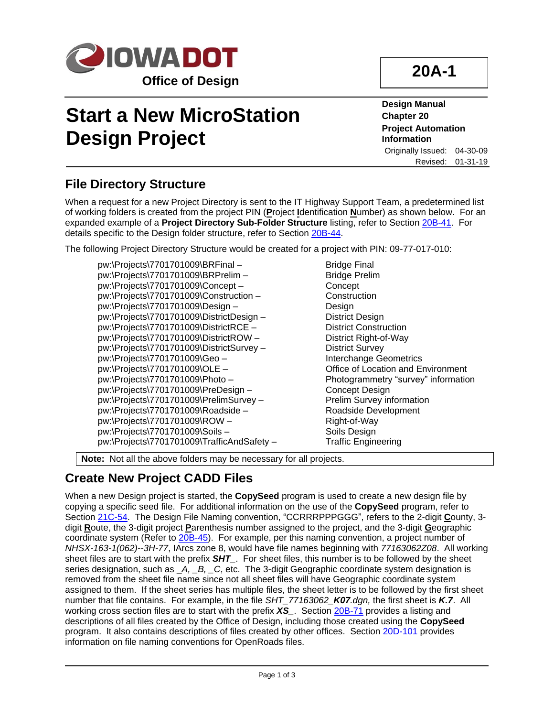

# **Start a New MicroStation Design Project**

**Design Manual Chapter 20 Project Automation Information** Originally Issued: 04-30-09 Revised: 01-31-19

## **File Directory Structure**

When a request for a new Project Directory is sent to the IT Highway Support Team, a predetermined list of working folders is created from the project PIN (**P**roject **I**dentification **N**umber) as shown below. For an expanded example of a **Project Directory Sub-Folder Structure** listing, refer to Section [20B-41.](20B-41.pdf) For details specific to the Design folder structure, refer to Section [20B-44.](20B-44.pdf)

The following Project Directory Structure would be created for a project with PIN: 09-77-017-010:

pw:\Projects\7701701009\BRFinal – Bridge Final pw:\Projects\7701701009\BRPrelim – Bridge Prelim pw:\Projects\7701701009\Concept – Concept pw:\Projects\7701701009\Construction – Construction pw:\Projects\7701701009\Design – Design pw:\Projects\7701701009\DistrictDesign – District Design pw:\Projects\7701701009\DistrictRCE – District Construction pw:\Projects\7701701009\DistrictROW – District Right-of-Way pw:\Projects\7701701009\DistrictSurvey – District Survey pw:\Projects\7701701009\Geo – Interchange Geometrics pw:\Projects\7701701009\OLE – Office of Location and Environment pw:\Projects\7701701009\Photo – Photogrammetry "survey" information pw:\Projects\7701701009\PreDesign – Concept Design pw:\Projects\7701701009\PrelimSurvey – Prelim Survey information pw:\Projects\7701701009\Roadside – Roadside Development pw:\Projects\7701701009\ROW – Right-of-Way pw:\Projects\7701701009\Soils – Soils Design pw:\Projects\7701701009\TrafficAndSafety – Traffic Engineering

**Note:** Not all the above folders may be necessary for all projects.

## **Create New Project CADD Files**

When a new Design project is started, the **CopySeed** program is used to create a new design file by copying a specific seed file. For additional information on the use of the **CopySeed** program, refer to Section [21C-54.](21C-54.pdf) The Design File Naming convention, "CCRRRPPPGGG", refers to the 2-digit **C**ounty, 3 digit **R**oute, the 3-digit project **P**arenthesis number assigned to the project, and the 3-digit **G**eographic coordinate system (Refer to [20B-45\)](20B-45.pdf). For example, per this naming convention, a project number of *NHSX-163-1(062)--3H-77*, IArcs zone 8, would have file names beginning with *77163062Z08*. All working sheet files are to start with the prefix **SHT**. For sheet files, this number is to be followed by the sheet series designation, such as \_*A, \_B, \_C*, etc. The 3-digit Geographic coordinate system designation is removed from the sheet file name since not all sheet files will have Geographic coordinate system assigned to them. If the sheet series has multiple files, the sheet letter is to be followed by the first sheet number that file contains. For example, in the file *SHT\_77163062\_K07.dgn,* the first sheet is *K.7*. All working cross section files are to start with the prefix *XS\_*. Section [20B-71](20B-71.pdf) provides a listing and descriptions of all files created by the Office of Design, including those created using the **CopySeed** program. It also contains descriptions of files created by other offices. Section [20D-101](20D-101.pdf) provides information on file naming conventions for OpenRoads files.

## **20A-1**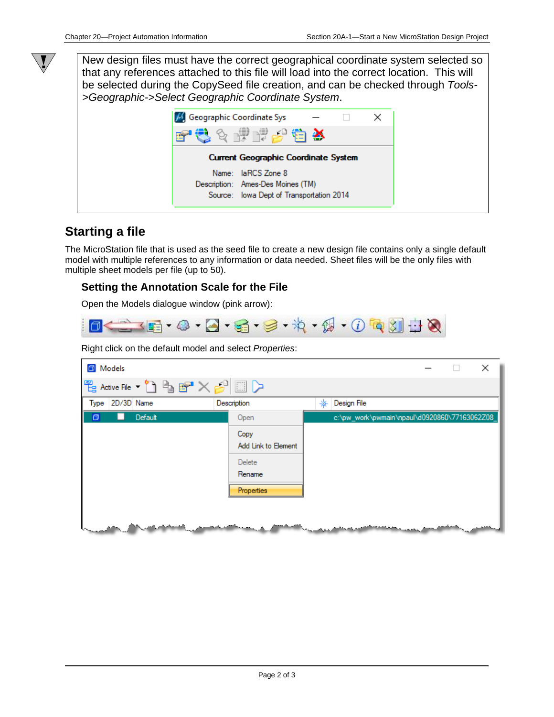New design files must have the correct geographical coordinate system selected so that any references attached to this file will load into the correct location. This will be selected during the CopySeed file creation, and can be checked through *Tools- >Geographic->Select Geographic Coordinate System*.

| M. Geographic Coordinate Sys |                                          |  |  |
|------------------------------|------------------------------------------|--|--|
|                              | C & P F & C X                            |  |  |
|                              | Current Geographic Coordinate System     |  |  |
|                              | Name: laRCS Zone 8                       |  |  |
|                              | Description: Ames-Des Moines (TM)        |  |  |
|                              | Source: lowa Dept of Transportation 2014 |  |  |
|                              |                                          |  |  |

### **Starting a file**

 $\sqrt{\ }$ 

The MicroStation file that is used as the seed file to create a new design file contains only a single default model with multiple references to any information or data needed. Sheet files will be the only files with multiple sheet models per file (up to 50).

#### **Setting the Annotation Scale for the File**

Open the Models dialogue window (pink arrow):



Right click on the default model and select *Properties*:

| Models            |                             |                                               |  | × |
|-------------------|-----------------------------|-----------------------------------------------|--|---|
|                   |                             |                                               |  |   |
| Type 2D/3D Name   | Description                 | Design File<br>⋇                              |  |   |
| Default<br>σ      | Open                        | c:\pw_work\pwmain\npaul\d0920860\77163062Z08_ |  |   |
|                   | Copy<br>Add Link to Element |                                               |  |   |
|                   | Delete<br>Rename            |                                               |  |   |
|                   | <b>Properties</b>           |                                               |  |   |
| بالمستحقق والمعار |                             |                                               |  |   |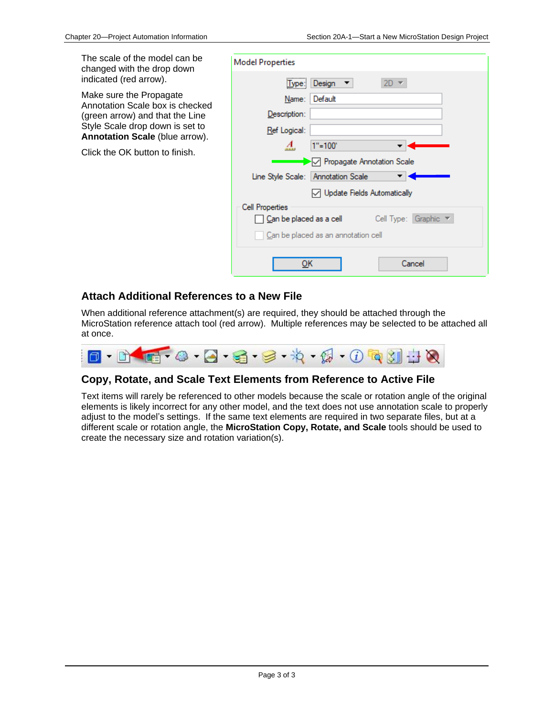The scale of the model can be changed with the drop down indicated (red arrow).

Make sure the Propagate Annotation Scale box is checked (green arrow) and that the Line Style Scale drop down is set to **Annotation Scale** (blue arrow).

Click the OK button to finish.

| <b>Model Properties</b> |                                                                 |
|-------------------------|-----------------------------------------------------------------|
| Type:                   | Design $\blacktriangledown$<br>$2D =$                           |
| Name:                   | I Default                                                       |
| Description:            |                                                                 |
| Ref Logical:            |                                                                 |
| А.                      | $1" = 100"$                                                     |
|                         | ◯ Propagate Annotation Scale                                    |
|                         | Line Style Scale: Annotation Scale                              |
|                         | ◯ Update Fields Automatically                                   |
| Cell Properties         |                                                                 |
|                         | Can be placed as a cell Cell Type: Graphic $\blacktriangledown$ |
|                         | Can be placed as an annotation cell                             |
| ок                      | Cancel                                                          |

#### **Attach Additional References to a New File**

When additional reference attachment(s) are required, they should be attached through the MicroStation reference attach tool (red arrow). Multiple references may be selected to be attached all at once.



#### **Copy, Rotate, and Scale Text Elements from Reference to Active File**

Text items will rarely be referenced to other models because the scale or rotation angle of the original elements is likely incorrect for any other model, and the text does not use annotation scale to properly adjust to the model's settings. If the same text elements are required in two separate files, but at a different scale or rotation angle, the **MicroStation Copy, Rotate, and Scale** tools should be used to create the necessary size and rotation variation(s).